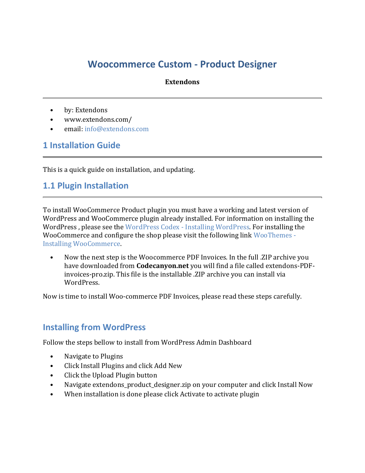# **Woocommerce Custom - Product Designer**

#### **Extendons**

- by: Extendons
- www.extendons.com/
- email: [info@extendons.com](mailto:info@extendons.com)

#### **1 Installation Guide**

This is a quick guide on installation, and updating.

#### **1.1 Plugin Installation**

To install WooCommerce Product plugin you must have a working and latest version of WordPress and WooCommerce plugin already installed. For information on installing the WordPress , please see the WordPress Codex - [Installing WordPress.](http://codex.wordpress.org/Installing_WordPress) For installing the WooCommerce and configure the shop please visit the following link [WooThemes -](https://docs.woothemes.com/document/installing-uninstalling-woocommerce/) [Installing WooCommerce.](https://docs.woothemes.com/document/installing-uninstalling-woocommerce/)

• Now the next step is the Woocommerce PDF Invoices. In the full .ZIP archive you have downloaded from **Codecanyon.net** you will find a file called extendons-PDFinvoices-pro.zip. This file is the installable .ZIP archive you can install via WordPress.

Now is time to install Woo-commerce PDF Invoices, please read these steps carefully.

### **Installing from WordPress**

Follow the steps bellow to install from WordPress Admin Dashboard

- Navigate to Plugins
- Click Install Plugins and click Add New
- Click the Upload Plugin button
- Navigate extendons product designer.zip on your computer and click Install Now
- When installation is done please click Activate to activate plugin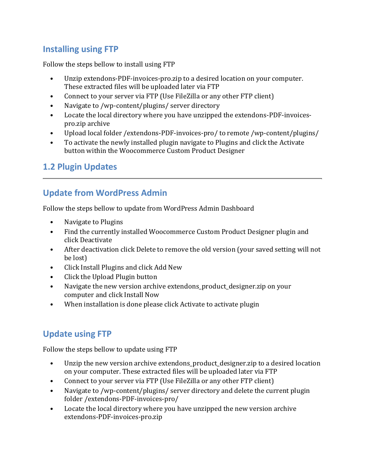### **Installing using FTP**

Follow the steps bellow to install using FTP

- Unzip extendons-PDF-invoices-pro.zip to a desired location on your computer. These extracted files will be uploaded later via FTP
- Connect to your server via FTP (Use FileZilla or any other FTP client)
- Navigate to /wp-content/plugins/ server directory
- Locate the local directory where you have unzipped the extendons-PDF-invoicespro.zip archive
- Upload local folder /extendons-PDF-invoices-pro/ to remote /wp-content/plugins/
- To activate the newly installed plugin navigate to Plugins and click the Activate button within the Woocommerce Custom Product Designer

# **1.2 Plugin Updates**

# **Update from WordPress Admin**

Follow the steps bellow to update from WordPress Admin Dashboard

- Navigate to Plugins
- Find the currently installed Woocommerce Custom Product Designer plugin and click Deactivate
- After deactivation click Delete to remove the old version (your saved setting will not be lost)
- Click Install Plugins and click Add New
- Click the Upload Plugin button
- Navigate the new version archive extendons\_product\_designer.zip on your computer and click Install Now
- When installation is done please click Activate to activate plugin

### **Update using FTP**

Follow the steps bellow to update using FTP

- Unzip the new version archive extendons product designer.zip to a desired location on your computer. These extracted files will be uploaded later via FTP
- Connect to your server via FTP (Use FileZilla or any other FTP client)
- Navigate to /wp-content/plugins/ server directory and delete the current plugin folder /extendons-PDF-invoices-pro/
- Locate the local directory where you have unzipped the new version archive extendons-PDF-invoices-pro.zip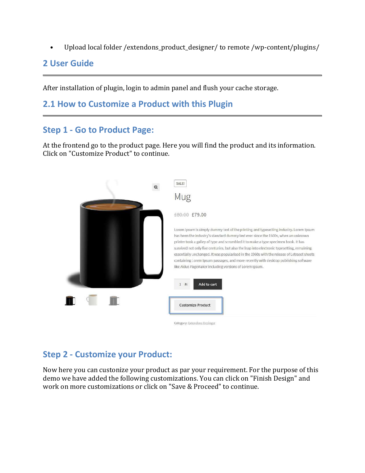• Upload local folder /extendons\_product\_designer/ to remote /wp-content/plugins/

#### **2 User Guide**

After installation of plugin, login to admin panel and flush your cache storage.

### **2.1 How to Customize a Product with this Plugin**

#### **Step 1 - Go to Product Page:**

At the frontend go to the product page. Here you will find the product and its information. Click on "Customize Product" to continue.



### **Step 2 - Customize your Product:**

Now here you can custonize your product as par your requirement. For the purpose of this demo we have added the following customizations. You can click on "Finish Design" and work on more customizations or click on "Save & Proceed" to continue.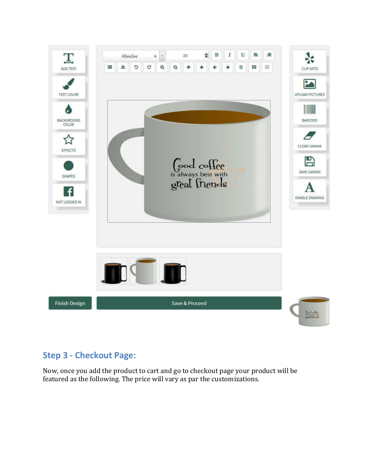

### **Step 3 - Checkout Page:**

Now, once you add the product to cart and go to checkout page your product will be featured as the following. The price will vary as par the customizations.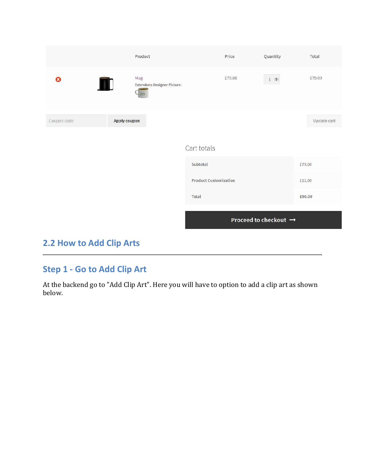|                              | Product                                                         | Price       | Quantity  | Total       |
|------------------------------|-----------------------------------------------------------------|-------------|-----------|-------------|
| ఴ                            | Mug<br>TD.<br><b>Extendons Designer Picture:</b><br><b>Bitt</b> | £79.00      | $1$ $\pm$ | £79.00      |
| Coupon code                  | Apply coupon                                                    |             |           | Update cart |
|                              |                                                                 | Cart totals |           |             |
|                              | Subtotal                                                        |             | £79.00    |             |
| <b>Product Customization</b> |                                                                 | £11.00      |           |             |
|                              |                                                                 | Total       |           | £90.00      |
| Proceed to checkout →        |                                                                 |             |           |             |

# **2.2 How to Add Clip Arts**

## **Step 1 - Go to Add Clip Art**

At the backend go to "Add Clip Art". Here you will have to option to add a clip art as shown below.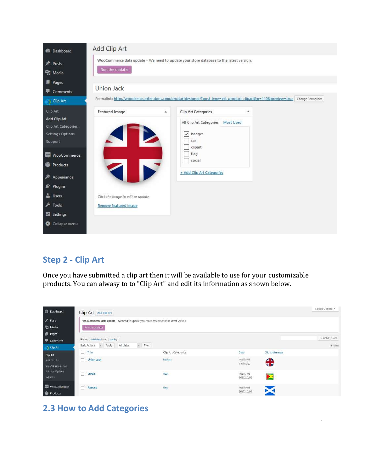

### **Step 2 - Clip Art**

Once you have submitted a clip art then it will be available to use for your customizable products. You can alwasy to to "Clip Art" and edit its information as shown below.

| <b>B</b> Dashboard                              | Clip Art Add Clip Art                                                                                     |                               |                                       |                       | Screen Options              |
|-------------------------------------------------|-----------------------------------------------------------------------------------------------------------|-------------------------------|---------------------------------------|-----------------------|-----------------------------|
| Posts<br>91 Media                               | WooCommerce data update - We need to update your store database to the latest version.<br>Run the updater |                               |                                       |                       |                             |
| <b>Pages</b><br>Comments<br>Clip Art            | All (16)   Published (16)   Trash (2)<br>Bulk Actions - Apply All dates                                   | $~\sim$ Filter                |                                       |                       | Search Clip Art<br>16 items |
| Clip Art<br>Add Clip Art<br>Clip Art Categories | □<br>Title<br>П<br>Union Jack                                                                             | Clip Art Categories<br>badges | Date<br>Published<br>1 min ago        | Clip Art Images<br>╬  |                             |
| Settings Options<br>Support                     | crotia                                                                                                    | flag                          | Published<br>2017/10/05<br>-1991-1940 | $\blacktriangleright$ |                             |
| <b>WooCommerce</b><br><b>Products</b>           | $\Box$<br>Roouso                                                                                          | flag                          | Published<br>2017/10/05               |                       |                             |

# **2.3 How to Add Categories**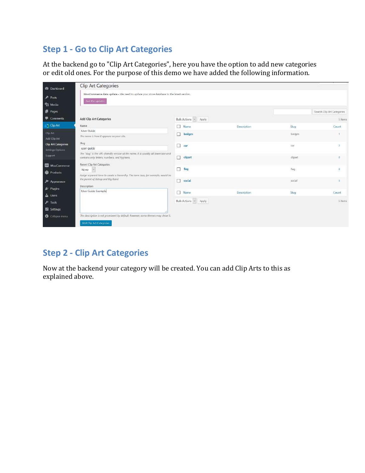# **Step 1 - Go to Clip Art Categories**

At the backend go to "Clip Art Categories", here you have the option to add new categories or edit old ones. For the purpose of this demo we have added the following information.

| <b>Dashboard</b>                               | <b>Clip Art Categories</b>                                                                                                           |                      |             |         |                            |
|------------------------------------------------|--------------------------------------------------------------------------------------------------------------------------------------|----------------------|-------------|---------|----------------------------|
| Posts<br><sup>4</sup> 2 Media                  | WooCommerce data update - We need to update your store database to the latest version.<br>Run the updater                            |                      |             |         |                            |
| Pages                                          |                                                                                                                                      |                      |             |         | Search Clip Art Categories |
| Comments                                       | Add Clip Art Categories                                                                                                              | Bulk Actions ~ Apply |             |         | 5 items                    |
| $\rightarrow$ Clip Art                         | Name                                                                                                                                 | Name                 | Description | Slug:   | Count                      |
| Clip Art<br>Add Clip Art                       | User Guide<br>The name is how it appears on your site.                                                                               | <b>badges</b>        |             | badges  |                            |
| <b>Clip Art Categories</b><br>Settings Options | Slug<br>user-quide                                                                                                                   | $\Box$<br>car        |             | car     | $\mathbf{z}$               |
| Support                                        | The "slug" is the URL-friendly version of the name. It is usually all lowercase and<br>contains only letters, numbers, and hyphens.  | clipart              |             | clipart | $\Omega$                   |
| <b>WooCommerce</b><br>Products                 | Parent Clip Art Categories<br>None<br>$\sim$                                                                                         | $\Box$<br>flag       |             | flag    | 8                          |
| $$$ Appearance                                 | Assign a parent term to create a hierarchy. The term Jazz, for example, would be<br>the parent of Bebop and Big Band.<br>Description | social               |             | social  | S.                         |
| Mr Plugins<br><b>L</b> Users                   | User Guide Example                                                                                                                   | Name                 | Description | Slug    | Count                      |
| $\sqrt{\frac{1}{2}}$ Tools<br>Settings         |                                                                                                                                      | Bulk Actions - Apply |             |         | 5 items                    |
| Collapse menu                                  | The description is not prominent by default; however, some themes may show it.                                                       |                      |             |         |                            |
|                                                | Add Clip Art Categories                                                                                                              |                      |             |         |                            |

### **Step 2 - Clip Art Categories**

Now at the backend your category will be created. You can add Clip Arts to this as explained above.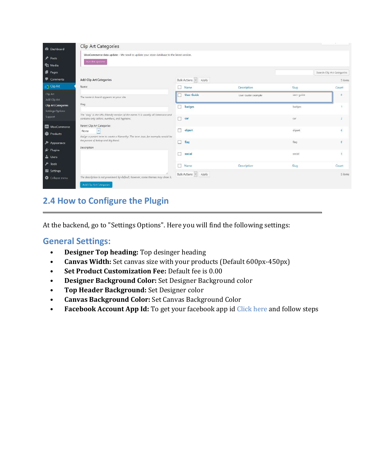| <b>@</b> Dashboard                             | Clip Art Categories                                                                                                                  |                        |                    |            |                            |
|------------------------------------------------|--------------------------------------------------------------------------------------------------------------------------------------|------------------------|--------------------|------------|----------------------------|
| <b>A</b> Posts<br><sup>9</sup> 1 Media         | WooCommerce data update - We need to update your store database to the latest version.<br>Run the updater                            |                        |                    |            |                            |
| Pages                                          |                                                                                                                                      |                        |                    |            | Search Clip Art Categories |
| Comments                                       | <b>Add Clip Art Categories</b>                                                                                                       | Bulk Actions v Apply   |                    |            | 5 items                    |
| S Clip Art                                     | Name <sup>®</sup>                                                                                                                    | Name<br>п              | Description        | Slug       | Count                      |
| Clip Art<br>Add Clip Art                       | The name is how it appears on your site.                                                                                             | <b>User Guide</b><br>U | User Guide Example | üser-guide | $\alpha$                   |
| <b>Clip Art Categories</b><br>Settings Options | Slug                                                                                                                                 | badges<br>п            |                    | badges     | $\mathbf{I}$               |
| Support                                        | The "slug" is the URL-friendly version of the name. It is usually all lowercase and<br>contains only letters, numbers, and hyphens.  | п<br>car               |                    | car        |                            |
| WooCommerce<br><b>Products</b>                 | Parent Clip Art Categories<br>None                                                                                                   | п<br>clipart           |                    | clipart    | O.                         |
| Appearance                                     | Assign a parent term to create a hierarchy. The term Jazz, for example, would be<br>the parent of Bebop and Big Band.<br>Description | п<br>flag              |                    | flag       |                            |
| Mr Plugins<br><b>de</b> Users                  |                                                                                                                                      | п<br>social            |                    | social     | $\overline{5}$             |
| $\sqrt{\frac{1}{2}}$ Tools                     |                                                                                                                                      | П<br>Name              | <b>Description</b> | Slug       | Count                      |
| Settings<br><b>O</b> Collapse menu             | The description is not prominent by default; however, some themes may show it.                                                       | Bulk Actions . Apply   |                    |            | 5 items                    |
|                                                | Add Clip Art Categories                                                                                                              |                        |                    |            |                            |

### **2.4 How to Configure the Plugin**

At the backend, go to "Settings Options". Here you will find the following settings:

#### **General Settings:**

- **Designer Top heading:** Top desinger heading
- **Canvas Width:** Set canvas size with your products (Default 600px-450px)
- **Set Product Customization Fee:** Default fee is 0.00
- **Designer Background Color:** Set Designer Background color
- **Top Header Background:** Set Designer color
- **Canvas Background Color:** Set Canvas Background Color
- **Facebook Account App Id:** To get your facebook app id [Click here](https://developers.facebook.com/docs/apps/register) and follow steps